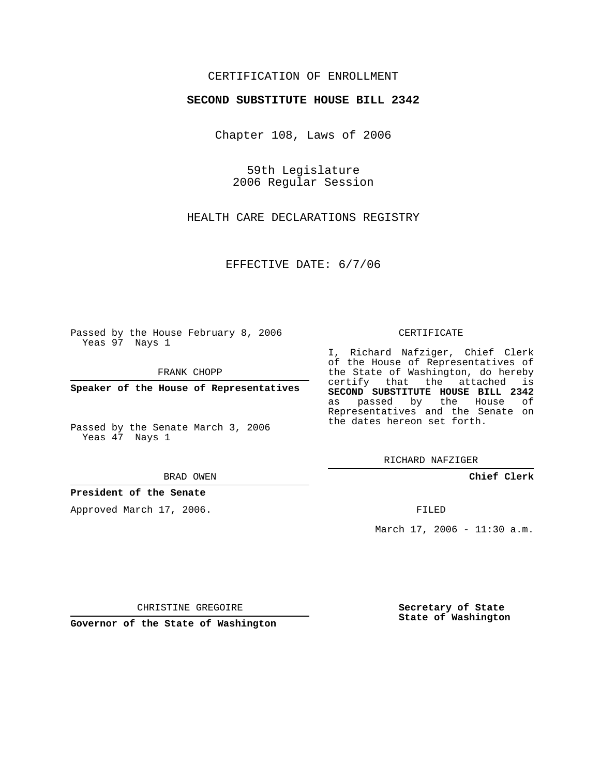## CERTIFICATION OF ENROLLMENT

### **SECOND SUBSTITUTE HOUSE BILL 2342**

Chapter 108, Laws of 2006

59th Legislature 2006 Regular Session

HEALTH CARE DECLARATIONS REGISTRY

EFFECTIVE DATE: 6/7/06

Passed by the House February 8, 2006 Yeas 97 Nays 1

FRANK CHOPP

**Speaker of the House of Representatives**

Passed by the Senate March 3, 2006 Yeas 47 Nays 1

#### BRAD OWEN

### **President of the Senate**

Approved March 17, 2006.

#### CERTIFICATE

I, Richard Nafziger, Chief Clerk of the House of Representatives of the State of Washington, do hereby certify that the attached is **SECOND SUBSTITUTE HOUSE BILL 2342** as passed by the House of Representatives and the Senate on the dates hereon set forth.

RICHARD NAFZIGER

**Chief Clerk**

FILED

March 17, 2006 - 11:30 a.m.

CHRISTINE GREGOIRE

**Governor of the State of Washington**

**Secretary of State State of Washington**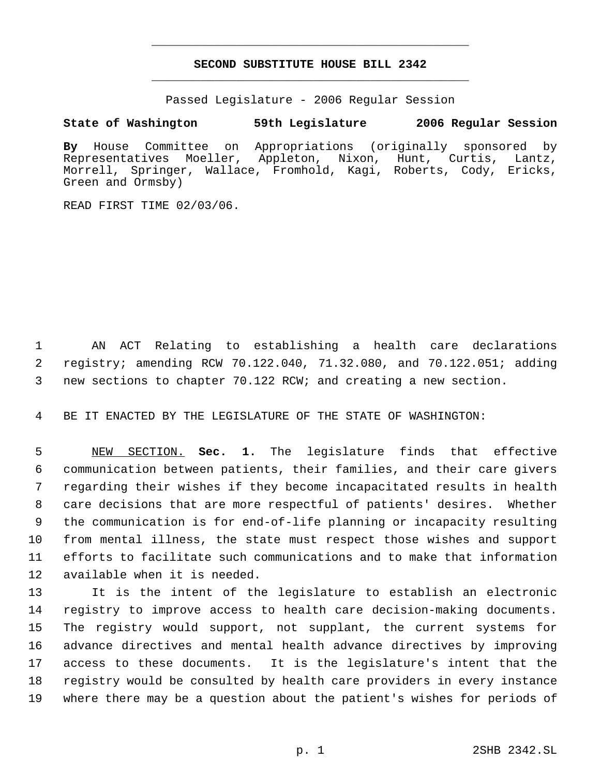# **SECOND SUBSTITUTE HOUSE BILL 2342** \_\_\_\_\_\_\_\_\_\_\_\_\_\_\_\_\_\_\_\_\_\_\_\_\_\_\_\_\_\_\_\_\_\_\_\_\_\_\_\_\_\_\_\_\_

\_\_\_\_\_\_\_\_\_\_\_\_\_\_\_\_\_\_\_\_\_\_\_\_\_\_\_\_\_\_\_\_\_\_\_\_\_\_\_\_\_\_\_\_\_

Passed Legislature - 2006 Regular Session

## **State of Washington 59th Legislature 2006 Regular Session**

**By** House Committee on Appropriations (originally sponsored by Representatives Moeller, Appleton, Nixon, Hunt, Curtis, Lantz, Morrell, Springer, Wallace, Fromhold, Kagi, Roberts, Cody, Ericks, Green and Ormsby)

READ FIRST TIME 02/03/06.

 AN ACT Relating to establishing a health care declarations registry; amending RCW 70.122.040, 71.32.080, and 70.122.051; adding new sections to chapter 70.122 RCW; and creating a new section.

BE IT ENACTED BY THE LEGISLATURE OF THE STATE OF WASHINGTON:

 NEW SECTION. **Sec. 1.** The legislature finds that effective communication between patients, their families, and their care givers regarding their wishes if they become incapacitated results in health care decisions that are more respectful of patients' desires. Whether the communication is for end-of-life planning or incapacity resulting from mental illness, the state must respect those wishes and support efforts to facilitate such communications and to make that information available when it is needed.

 It is the intent of the legislature to establish an electronic registry to improve access to health care decision-making documents. The registry would support, not supplant, the current systems for advance directives and mental health advance directives by improving access to these documents. It is the legislature's intent that the registry would be consulted by health care providers in every instance where there may be a question about the patient's wishes for periods of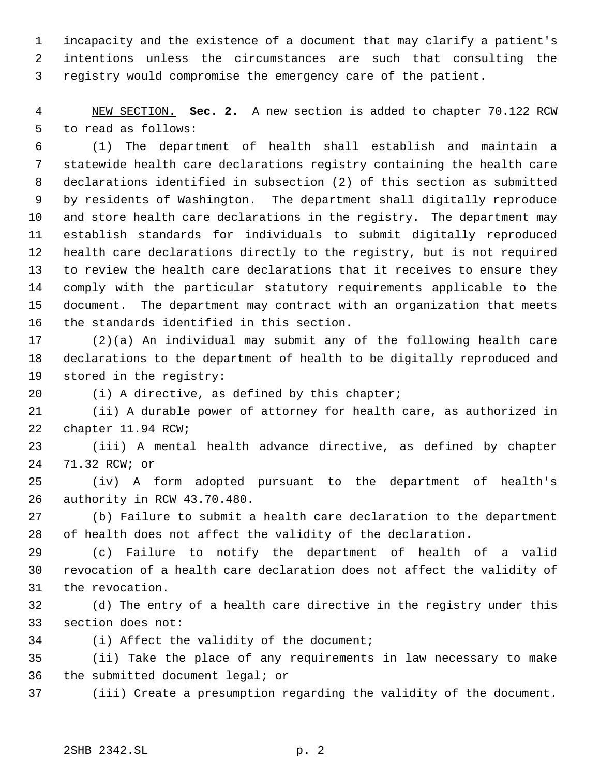incapacity and the existence of a document that may clarify a patient's intentions unless the circumstances are such that consulting the registry would compromise the emergency care of the patient.

 NEW SECTION. **Sec. 2.** A new section is added to chapter 70.122 RCW to read as follows:

 (1) The department of health shall establish and maintain a statewide health care declarations registry containing the health care declarations identified in subsection (2) of this section as submitted by residents of Washington. The department shall digitally reproduce and store health care declarations in the registry. The department may establish standards for individuals to submit digitally reproduced health care declarations directly to the registry, but is not required to review the health care declarations that it receives to ensure they comply with the particular statutory requirements applicable to the document. The department may contract with an organization that meets the standards identified in this section.

 (2)(a) An individual may submit any of the following health care declarations to the department of health to be digitally reproduced and stored in the registry:

(i) A directive, as defined by this chapter;

 (ii) A durable power of attorney for health care, as authorized in chapter 11.94 RCW;

 (iii) A mental health advance directive, as defined by chapter 71.32 RCW; or

 (iv) A form adopted pursuant to the department of health's authority in RCW 43.70.480.

 (b) Failure to submit a health care declaration to the department of health does not affect the validity of the declaration.

 (c) Failure to notify the department of health of a valid revocation of a health care declaration does not affect the validity of the revocation.

 (d) The entry of a health care directive in the registry under this section does not:

(i) Affect the validity of the document;

 (ii) Take the place of any requirements in law necessary to make the submitted document legal; or

(iii) Create a presumption regarding the validity of the document.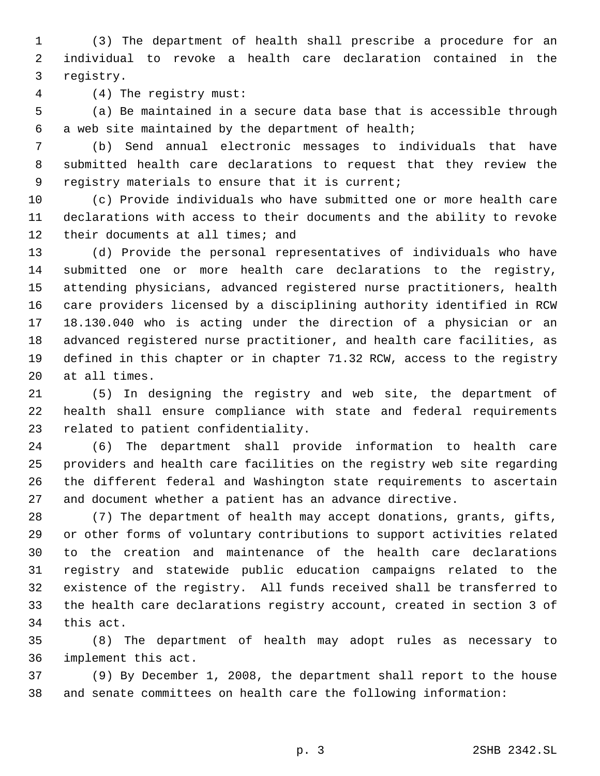(3) The department of health shall prescribe a procedure for an individual to revoke a health care declaration contained in the registry.

(4) The registry must:

 (a) Be maintained in a secure data base that is accessible through a web site maintained by the department of health;

 (b) Send annual electronic messages to individuals that have submitted health care declarations to request that they review the registry materials to ensure that it is current;

 (c) Provide individuals who have submitted one or more health care declarations with access to their documents and the ability to revoke 12 their documents at all times; and

 (d) Provide the personal representatives of individuals who have submitted one or more health care declarations to the registry, attending physicians, advanced registered nurse practitioners, health care providers licensed by a disciplining authority identified in RCW 18.130.040 who is acting under the direction of a physician or an advanced registered nurse practitioner, and health care facilities, as defined in this chapter or in chapter 71.32 RCW, access to the registry at all times.

 (5) In designing the registry and web site, the department of health shall ensure compliance with state and federal requirements related to patient confidentiality.

 (6) The department shall provide information to health care providers and health care facilities on the registry web site regarding the different federal and Washington state requirements to ascertain and document whether a patient has an advance directive.

 (7) The department of health may accept donations, grants, gifts, or other forms of voluntary contributions to support activities related to the creation and maintenance of the health care declarations registry and statewide public education campaigns related to the existence of the registry. All funds received shall be transferred to the health care declarations registry account, created in section 3 of this act.

 (8) The department of health may adopt rules as necessary to implement this act.

 (9) By December 1, 2008, the department shall report to the house and senate committees on health care the following information: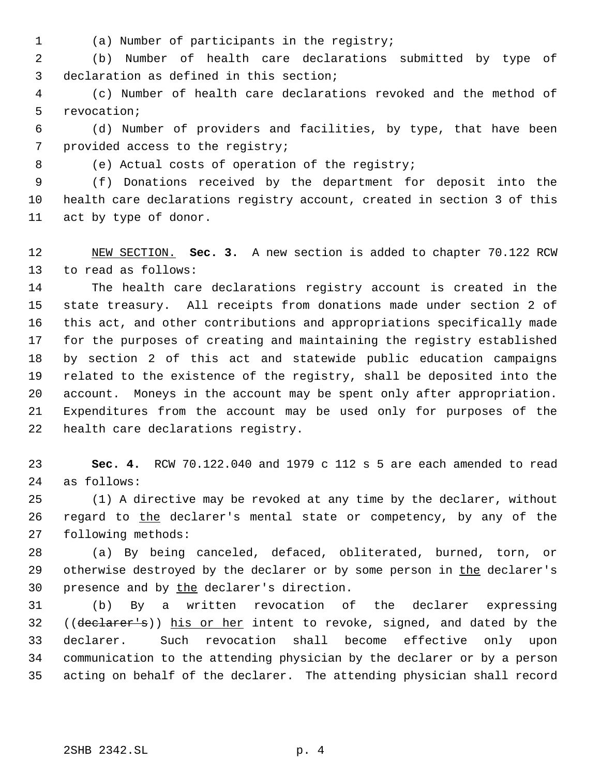- 
- (a) Number of participants in the registry;

 (b) Number of health care declarations submitted by type of declaration as defined in this section;

 (c) Number of health care declarations revoked and the method of revocation;

 (d) Number of providers and facilities, by type, that have been provided access to the registry;

(e) Actual costs of operation of the registry;

 (f) Donations received by the department for deposit into the health care declarations registry account, created in section 3 of this act by type of donor.

 NEW SECTION. **Sec. 3.** A new section is added to chapter 70.122 RCW to read as follows:

 The health care declarations registry account is created in the state treasury. All receipts from donations made under section 2 of this act, and other contributions and appropriations specifically made for the purposes of creating and maintaining the registry established by section 2 of this act and statewide public education campaigns related to the existence of the registry, shall be deposited into the account. Moneys in the account may be spent only after appropriation. Expenditures from the account may be used only for purposes of the health care declarations registry.

 **Sec. 4.** RCW 70.122.040 and 1979 c 112 s 5 are each amended to read as follows:

 (1) A directive may be revoked at any time by the declarer, without 26 regard to the declarer's mental state or competency, by any of the following methods:

 (a) By being canceled, defaced, obliterated, burned, torn, or 29 otherwise destroyed by the declarer or by some person in the declarer's 30 presence and by the declarer's direction.

 (b) By a written revocation of the declarer expressing 32 ((declarer's)) his or her intent to revoke, signed, and dated by the declarer. Such revocation shall become effective only upon communication to the attending physician by the declarer or by a person acting on behalf of the declarer. The attending physician shall record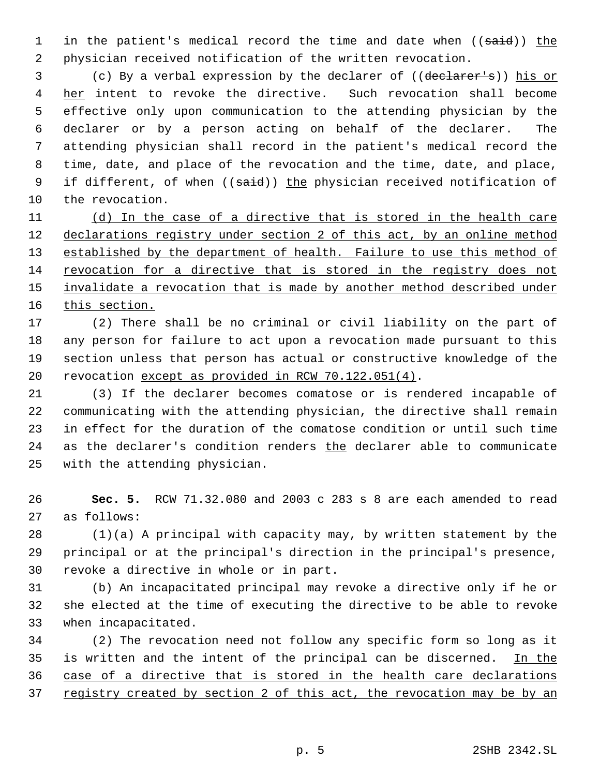1 in the patient's medical record the time and date when ((said)) the physician received notification of the written revocation.

 (c) By a verbal expression by the declarer of ((declarer's)) his or 4 her intent to revoke the directive. Such revocation shall become effective only upon communication to the attending physician by the declarer or by a person acting on behalf of the declarer. The attending physician shall record in the patient's medical record the time, date, and place of the revocation and the time, date, and place, 9 if different, of when ((said)) the physician received notification of the revocation.

 (d) In the case of a directive that is stored in the health care 12 declarations registry under section 2 of this act, by an online method 13 established by the department of health. Failure to use this method of revocation for a directive that is stored in the registry does not 15 invalidate a revocation that is made by another method described under 16 this section.

 (2) There shall be no criminal or civil liability on the part of any person for failure to act upon a revocation made pursuant to this section unless that person has actual or constructive knowledge of the 20 revocation except as provided in RCW 70.122.051(4).

 (3) If the declarer becomes comatose or is rendered incapable of communicating with the attending physician, the directive shall remain in effect for the duration of the comatose condition or until such time 24 as the declarer's condition renders the declarer able to communicate with the attending physician.

 **Sec. 5.** RCW 71.32.080 and 2003 c 283 s 8 are each amended to read as follows:

 (1)(a) A principal with capacity may, by written statement by the principal or at the principal's direction in the principal's presence, revoke a directive in whole or in part.

 (b) An incapacitated principal may revoke a directive only if he or she elected at the time of executing the directive to be able to revoke when incapacitated.

 (2) The revocation need not follow any specific form so long as it 35 is written and the intent of the principal can be discerned. In the case of a directive that is stored in the health care declarations 37 registry created by section 2 of this act, the revocation may be by an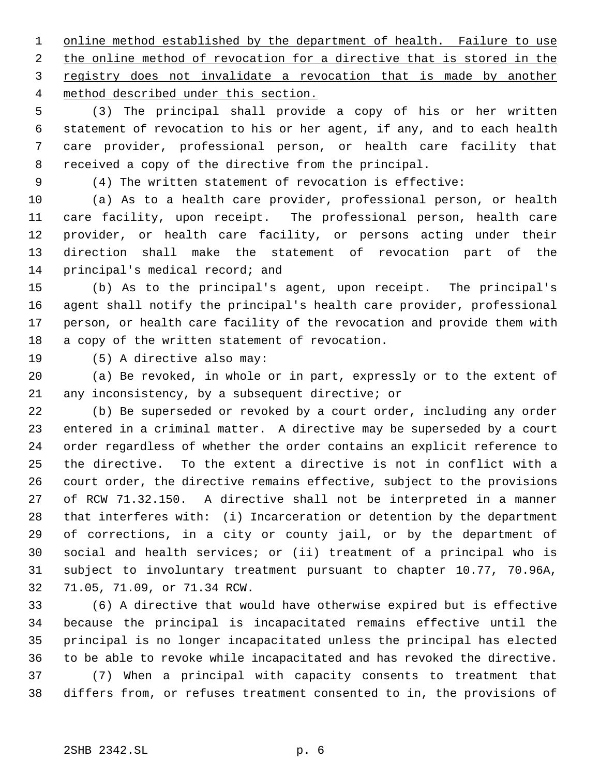1 online method established by the department of health. Failure to use 2 the online method of revocation for a directive that is stored in the registry does not invalidate a revocation that is made by another method described under this section.

 (3) The principal shall provide a copy of his or her written statement of revocation to his or her agent, if any, and to each health care provider, professional person, or health care facility that received a copy of the directive from the principal.

(4) The written statement of revocation is effective:

 (a) As to a health care provider, professional person, or health care facility, upon receipt. The professional person, health care provider, or health care facility, or persons acting under their direction shall make the statement of revocation part of the principal's medical record; and

 (b) As to the principal's agent, upon receipt. The principal's agent shall notify the principal's health care provider, professional person, or health care facility of the revocation and provide them with a copy of the written statement of revocation.

(5) A directive also may:

 (a) Be revoked, in whole or in part, expressly or to the extent of any inconsistency, by a subsequent directive; or

 (b) Be superseded or revoked by a court order, including any order entered in a criminal matter. A directive may be superseded by a court order regardless of whether the order contains an explicit reference to the directive. To the extent a directive is not in conflict with a court order, the directive remains effective, subject to the provisions of RCW 71.32.150. A directive shall not be interpreted in a manner that interferes with: (i) Incarceration or detention by the department of corrections, in a city or county jail, or by the department of social and health services; or (ii) treatment of a principal who is subject to involuntary treatment pursuant to chapter 10.77, 70.96A, 71.05, 71.09, or 71.34 RCW.

 (6) A directive that would have otherwise expired but is effective because the principal is incapacitated remains effective until the principal is no longer incapacitated unless the principal has elected to be able to revoke while incapacitated and has revoked the directive. (7) When a principal with capacity consents to treatment that differs from, or refuses treatment consented to in, the provisions of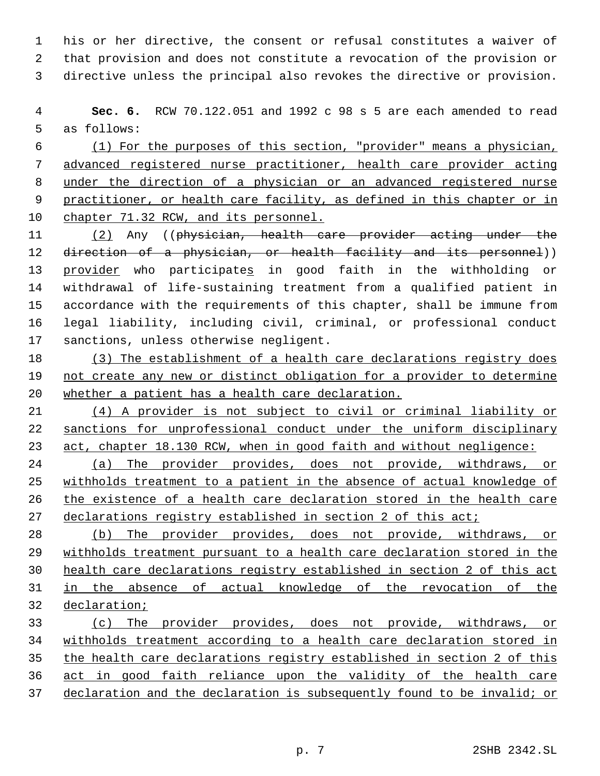his or her directive, the consent or refusal constitutes a waiver of that provision and does not constitute a revocation of the provision or directive unless the principal also revokes the directive or provision.

 **Sec. 6.** RCW 70.122.051 and 1992 c 98 s 5 are each amended to read as follows:

 (1) For the purposes of this section, "provider" means a physician, advanced registered nurse practitioner, health care provider acting under the direction of a physician or an advanced registered nurse practitioner, or health care facility, as defined in this chapter or in chapter 71.32 RCW, and its personnel.

 (2) Any ((physician, health care provider acting under the 12 direction of a physician, or health facility and its personnel)) provider who participates in good faith in the withholding or withdrawal of life-sustaining treatment from a qualified patient in accordance with the requirements of this chapter, shall be immune from legal liability, including civil, criminal, or professional conduct sanctions, unless otherwise negligent.

 (3) The establishment of a health care declarations registry does 19 not create any new or distinct obligation for a provider to determine whether a patient has a health care declaration.

 (4) A provider is not subject to civil or criminal liability or sanctions for unprofessional conduct under the uniform disciplinary act, chapter 18.130 RCW, when in good faith and without negligence:

 (a) The provider provides, does not provide, withdraws, or withholds treatment to a patient in the absence of actual knowledge of the existence of a health care declaration stored in the health care 27 declarations registry established in section 2 of this act;

 (b) The provider provides, does not provide, withdraws, or withholds treatment pursuant to a health care declaration stored in the health care declarations registry established in section 2 of this act in the absence of actual knowledge of the revocation of the declaration;

 (c) The provider provides, does not provide, withdraws, or withholds treatment according to a health care declaration stored in the health care declarations registry established in section 2 of this act in good faith reliance upon the validity of the health care 37 declaration and the declaration is subsequently found to be invalid; or